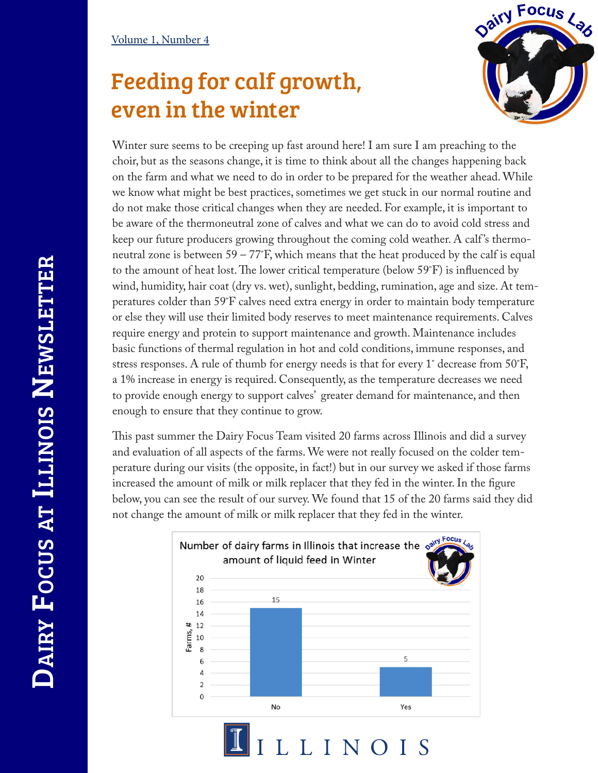## Feeding for calf growth, even in the winter



Winter sure seems to be creeping up fast around here! I am sure I am preaching to the choir, but as the seasons change, it is time to think about all the changes happening back on the farm and what we need to do in order to be prepared for the weather ahead. While we know what might be best practices, sometimes we get stuck in our normal routine and do not make those critical changes when they are needed. For example, it is important to be aware of the thermoneutral zone of calves and what we can do to avoid cold stress and keep our future producers growing throughout the coming cold weather. A calf 's thermoneutral zone is between  $59 - 77$ °F, which means that the heat produced by the calf is equal to the amount of heat lost. The lower critical temperature (below 59˚F) is influenced by wind, humidity, hair coat (dry vs. wet), sunlight, bedding, rumination, age and size. At temperatures colder than 59˚F calves need extra energy in order to maintain body temperature or else they will use their limited body reserves to meet maintenance requirements. Calves require energy and protein to support maintenance and growth. Maintenance includes basic functions of thermal regulation in hot and cold conditions, immune responses, and stress responses. A rule of thumb for energy needs is that for every 1˚ decrease from 50˚F, a 1% increase in energy is required. Consequently, as the temperature decreases we need to provide enough energy to support calves' greater demand for maintenance, and then enough to ensure that they continue to grow.

This past summer the Dairy Focus Team visited 20 farms across Illinois and did a survey and evaluation of all aspects of the farms. We were not really focused on the colder temperature during our visits (the opposite, in fact!) but in our survey we asked if those farms increased the amount of milk or milk replacer that they fed in the winter. In the figure below, you can see the result of our survey. We found that 15 of the 20 farms said they did not change the amount of milk or milk replacer that they fed in the winter.



LLINOIS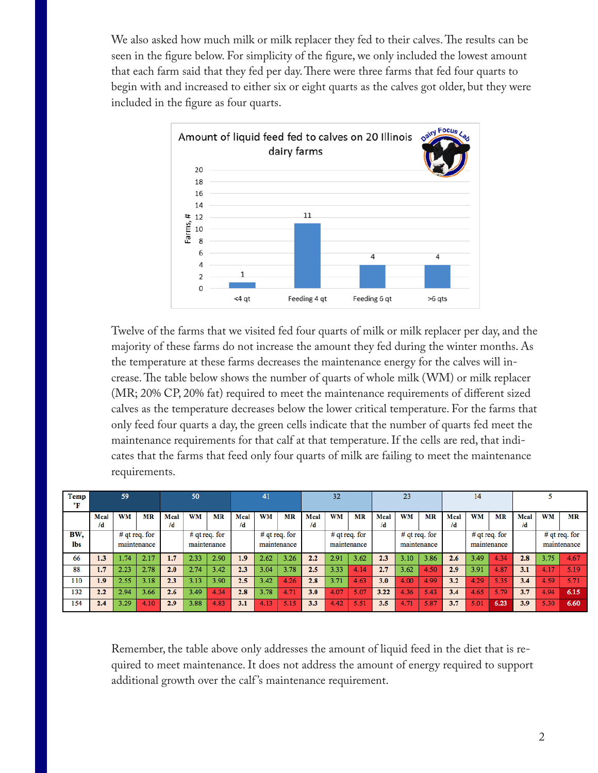We also asked how much milk or milk replacer they fed to their calves. The results can be seen in the figure below. For simplicity of the figure, we only included the lowest amount that each farm said that they fed per day. There were three farms that fed four quarts to begin with and increased to either six or eight quarts as the calves got older, but they were included in the figure as four quarts.



Twelve of the farms that we visited fed four quarts of milk or milk replacer per day, and the majority of these farms do not increase the amount they fed during the winter months. As the temperature at these farms decreases the maintenance energy for the calves will increase. The table below shows the number of quarts of whole milk (WM) or milk replacer (MR; 20% CP, 20% fat) required to meet the maintenance requirements of different sized calves as the temperature decreases below the lower critical temperature. For the farms that only feed four quarts a day, the green cells indicate that the number of quarts fed meet the maintenance requirements for that calf at that temperature. If the cells are red, that indicates that the farms that feed only four quarts of milk are failing to meet the maintenance requirements.

| <b>Temp</b><br>°F | 59   |                                |      | 50   |                                |      | 41   |                                |      | 32   |                                |      | 23   |                                |           | 14   |                                |      |      |                              |           |
|-------------------|------|--------------------------------|------|------|--------------------------------|------|------|--------------------------------|------|------|--------------------------------|------|------|--------------------------------|-----------|------|--------------------------------|------|------|------------------------------|-----------|
|                   | Mcal | <b>WM</b>                      | MR   | Mcal | WM                             | MR   | Mcal | <b>WM</b>                      | MR   | Mcal | WM                             | MR   | Mcal | WM                             | <b>MR</b> | Meal | WM                             | MR   | Mcal | WМ                           | <b>MR</b> |
|                   | /d   |                                |      | /d   |                                |      | /d   |                                |      | /d   |                                |      | /d   |                                |           | /d   |                                |      | /d   |                              |           |
| BW.<br>lbs        |      | $#$ qt req. for<br>maintenance |      |      | $#$ qt req. for<br>maintenance |      |      | $#$ qt req. for<br>maintenance |      |      | $#$ qt req. for<br>maintenance |      |      | $#$ qt req. for<br>maintenance |           |      | $#$ qt req. for<br>maintenance |      |      | # qt req. for<br>maintenance |           |
| 66                | 1.3  | .74                            | 2.17 | 1.7  | 2.33                           | 2.90 | 1.9  | 2.62                           | 3.26 | 2.2  | 2.91                           | 3.62 | 2.3  | 3.10                           | 3.86      | 2.6  | 3.49                           | 4.34 | 2.8  | 3.75                         | 4.67      |
| 88                | 1.7  | 2.23                           | 2.78 | 2.0  | 2.74                           | 3.42 | 2.3  | 3.04                           | 3.78 | 2.5  | 3.33                           | 4.14 | 2.7  | 3.62                           | 4.50      | 2.9  | 3.91                           | 4.87 | 3.1  | 4.17                         | 5.19      |
| 110               | 1.9  | 2.55                           | 3.18 | 2.3  | 3.13                           | 3.90 | 2.5  | 3.42                           | 4.26 | 2.8  | 3.71                           | 4.63 | 3.0  | 4.00                           | 4.99      | 3.2  | 4.29                           | 5.35 | 3.4  | 4.59                         | 5.71      |
| 132               | 2.2  | 2.94                           | 3.66 | 2.6  | 3.49                           | 4.34 | 2.8  | 3.78                           | 4.71 | 3.0  | 4.07                           | 5.07 | 3.22 | 4.36                           | 5.43      | 3.4  | 4.65                           | 5.79 | 3.7  | 4.94                         | 6.15      |
| 154               | 2.4  | 3.29                           | 4.10 | 2.9  | 3.88                           | 4.83 | 3.1  | 4.13                           | 5.15 | 3.3  | 4.42                           | 5.51 | 3.5  | 4.71                           | 5.87      | 3.7  | 5.01                           | 6.23 | 3.9  | 5.30                         | 6.60      |

Remember, the table above only addresses the amount of liquid feed in the diet that is required to meet maintenance. It does not address the amount of energy required to support additional growth over the calf 's maintenance requirement.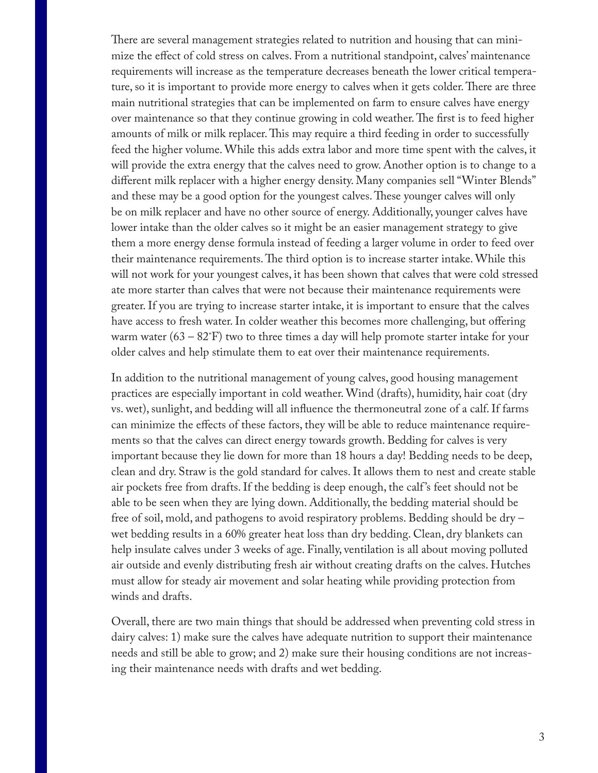There are several management strategies related to nutrition and housing that can minimize the effect of cold stress on calves. From a nutritional standpoint, calves' maintenance requirements will increase as the temperature decreases beneath the lower critical temperature, so it is important to provide more energy to calves when it gets colder. There are three main nutritional strategies that can be implemented on farm to ensure calves have energy over maintenance so that they continue growing in cold weather. The first is to feed higher amounts of milk or milk replacer. This may require a third feeding in order to successfully feed the higher volume. While this adds extra labor and more time spent with the calves, it will provide the extra energy that the calves need to grow. Another option is to change to a different milk replacer with a higher energy density. Many companies sell "Winter Blends" and these may be a good option for the youngest calves. These younger calves will only be on milk replacer and have no other source of energy. Additionally, younger calves have lower intake than the older calves so it might be an easier management strategy to give them a more energy dense formula instead of feeding a larger volume in order to feed over their maintenance requirements. The third option is to increase starter intake. While this will not work for your youngest calves, it has been shown that calves that were cold stressed ate more starter than calves that were not because their maintenance requirements were greater. If you are trying to increase starter intake, it is important to ensure that the calves have access to fresh water. In colder weather this becomes more challenging, but offering warm water  $(63 - 82 \text{°F})$  two to three times a day will help promote starter intake for your older calves and help stimulate them to eat over their maintenance requirements.

In addition to the nutritional management of young calves, good housing management practices are especially important in cold weather. Wind (drafts), humidity, hair coat (dry vs. wet), sunlight, and bedding will all influence the thermoneutral zone of a calf. If farms can minimize the effects of these factors, they will be able to reduce maintenance requirements so that the calves can direct energy towards growth. Bedding for calves is very important because they lie down for more than 18 hours a day! Bedding needs to be deep, clean and dry. Straw is the gold standard for calves. It allows them to nest and create stable air pockets free from drafts. If the bedding is deep enough, the calf 's feet should not be able to be seen when they are lying down. Additionally, the bedding material should be free of soil, mold, and pathogens to avoid respiratory problems. Bedding should be dry – wet bedding results in a 60% greater heat loss than dry bedding. Clean, dry blankets can help insulate calves under 3 weeks of age. Finally, ventilation is all about moving polluted air outside and evenly distributing fresh air without creating drafts on the calves. Hutches must allow for steady air movement and solar heating while providing protection from winds and drafts.

Overall, there are two main things that should be addressed when preventing cold stress in dairy calves: 1) make sure the calves have adequate nutrition to support their maintenance needs and still be able to grow; and 2) make sure their housing conditions are not increasing their maintenance needs with drafts and wet bedding.